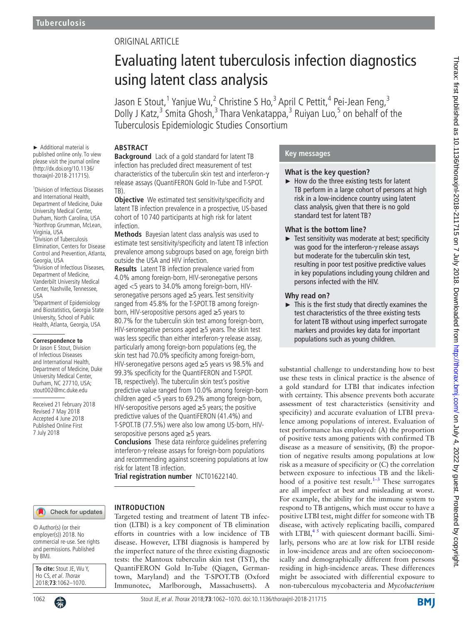## Original article

# Evaluating latent tuberculosis infection diagnostics using latent class analysis

Jason E Stout,<sup>1</sup> Yanjue Wu,<sup>2</sup> Christine S Ho,<sup>3</sup> April C Pettit,<sup>4</sup> Pei-Jean Feng,<sup>3</sup> Dolly J Katz,<sup>3</sup> Smita Ghosh,<sup>3</sup> Thara Venkatappa,<sup>3</sup> Ruiyan Luo,<sup>5</sup> on behalf of the Tuberculosis Epidemiologic Studies Consortium

► Additional material is published online only. To view please visit the journal online (http://dx.doi.org/10.1136/ thoraxjnl-2018-211715).

1 Division of Infectious Diseases and International Health, Department of Medicine, Duke University Medical Center, Durham, North Carolina, USA <sup>2</sup> <sup>2</sup>Northrop Grumman, McLean, Virginia, USA <sup>3</sup> <sup>3</sup>Division of Tuberculosis Elimination, Centers for Disease Control and Prevention, Atlanta, Georgia, USA <sup>4</sup> <sup>4</sup> Division of Infectious Diseases, Department of Medicine, Vanderbilt University Medical Center, Nashville, Tennessee,

USA<br><sup>5</sup>Department of Epidemiology and Biostatistics, Georgia State University, School of Public Health, Atlanta, Georgia, USA

#### **Correspondence to**

Dr Jason E Stout, Division of Infectious Diseases and International Health, Department of Medicine, Duke University Medical Center, Durham, NC 27710, USA; stout002@mc.duke.edu

Received 21 February 2018 Revised 7 May 2018 Accepted 4 June 2018 Published Online First 7 July 2018

#### **Abstract**

**Background** Lack of a gold standard for latent TB infection has precluded direct measurement of test characteristics of the tuberculin skin test and interferon-γ release assays (QuantiFERON Gold In-Tube and T-SPOT. TB).

**Objective** We estimated test sensitivity/specificity and latent TB infection prevalence in a prospective, US-based cohort of 10 740 participants at high risk for latent infection.

**Methods** Bayesian latent class analysis was used to estimate test sensitivity/specificity and latent TB infection prevalence among subgroups based on age, foreign birth outside the USA and HIV infection.

**Results** Latent TB infection prevalence varied from 4.0% among foreign-born, HIV-seronegative persons aged <5 years to 34.0% among foreign-born, HIVseronegative persons aged ≥5 years. Test sensitivity ranged from 45.8% for the T-SPOT.TB among foreignborn, HIV-seropositive persons aged ≥5 years to 80.7% for the tuberculin skin test among foreign-born, HIV-seronegative persons aged ≥5 years. The skin test was less specific than either interferon-γ release assay, particularly among foreign-born populations (eg, the skin test had 70.0% specificity among foreign-born, HIV-seronegative persons aged ≥5 years vs 98.5% and 99.3% specificity for the QuantiFERON and T-SPOT. TB, respectively). The tuberculin skin test's positive predictive value ranged from 10.0% among foreign-born children aged <5 years to 69.2% among foreign-born, HIV-seropositive persons aged ≥5 years; the positive predictive values of the QuantiFERON (41.4%) and T-SPOT.TB (77.5%) were also low among US-born, HIVseropositive persons aged ≥5 years.

**Conclusions** These data reinforce guidelines preferring interferon-γ release assays for foreign-born populations and recommending against screening populations at low risk for latent TB infection.

**Trial registration number** [NC](NCT01622140)T[01622140](NCT01622140).

Check for updates

© Author(s) (or their employer(s)) 2018. No commercial re-use. See rights and permissions. Published by BMJ.

**To cite:** Stout JE, Wu Y, Ho CS, et al. Thorax 2018;**73**:1062–1070.



#### **Introduction**

Targeted testing and treatment of latent TB infection (LTBI) is a key component of TB elimination efforts in countries with a low incidence of TB disease. However, LTBI diagnosis is hampered by the imperfect nature of the three existing diagnostic tests: the Mantoux tuberculin skin test (TST), the QuantiFERON Gold In-Tube (Qiagen, Germantown, Maryland) and the T-SPOT.TB (Oxford Immunotec, Marlborough, Massachusetts). A

#### **Key messages**

#### **What is the key question?**

► How do the three existing tests for latent TB perform in a large cohort of persons at high risk in a low-incidence country using latent class analysis, given that there is no gold standard test for latent TB?

#### **What is the bottom line?**

► Test sensitivity was moderate at best; specificity was good for the interferon-γ release assays but moderate for the tuberculin skin test, resulting in poor test positive predictive values in key populations including young children and persons infected with the HIV.

#### **Why read on?**

 $\blacktriangleright$  This is the first study that directly examines the test characteristics of the three existing tests for latent TB without using imperfect surrogate markers and provides key data for important populations such as young children.

substantial challenge to understanding how to best use these tests in clinical practice is the absence of a gold standard for LTBI that indicates infection with certainty. This absence prevents both accurate assessment of test characteristics (sensitivity and specificity) and accurate evaluation of LTBI prevalence among populations of interest. Evaluation of test performance has employed: (A) the proportion of positive tests among patients with confirmed TB disease as a measure of sensitivity, (B) the proportion of negative results among populations at low risk as a measure of specificity or (C) the correlation between exposure to infectious TB and the likelihood of a positive test result.<sup>1–3</sup> These surrogates are all imperfect at best and misleading at worst. For example, the ability for the immune system to respond to TB antigens, which must occur to have a positive LTBI test, might differ for someone with TB disease, with actively replicating bacilli, compared with LTBI, $45$  with quiescent dormant bacilli. Similarly, persons who are at low risk for LTBI reside in low-incidence areas and are often socioeconomically and demographically different from persons residing in high-incidence areas. These differences might be associated with differential exposure to non-tuberculous mycobacteria and *Mycobacterium*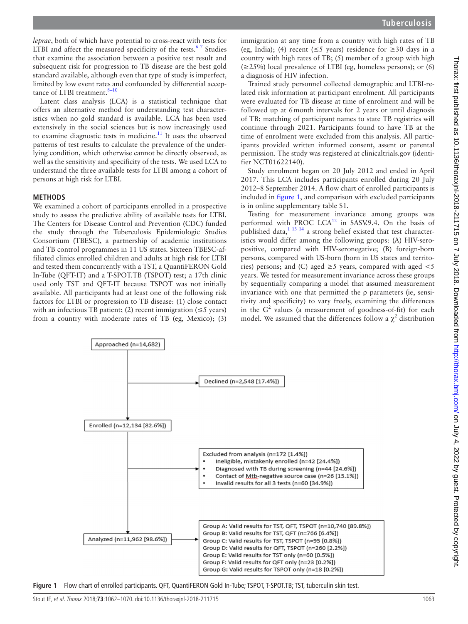*leprae*, both of which have potential to cross-react with tests for LTBI and affect the measured specificity of the tests.<sup>67</sup> Studies that examine the association between a positive test result and subsequent risk for progression to TB disease are the best gold standard available, although even that type of study is imperfect, limited by low event rates and confounded by differential acceptance of LTBI treatment.<sup>8-10</sup>

Latent class analysis (LCA) is a statistical technique that offers an alternative method for understanding test characteristics when no gold standard is available. LCA has been used extensively in the social sciences but is now increasingly used to examine diagnostic tests in medicine. $11$  It uses the observed patterns of test results to calculate the prevalence of the underlying condition, which otherwise cannot be directly observed, as well as the sensitivity and specificity of the tests. We used LCA to understand the three available tests for LTBI among a cohort of persons at high risk for LTBI.

#### **Methods**

We examined a cohort of participants enrolled in a prospective study to assess the predictive ability of available tests for LTBI. The Centers for Disease Control and Prevention (CDC) funded the study through the Tuberculosis Epidemiologic Studies Consortium (TBESC), a partnership of academic institutions and TB control programmes in 11 US states. Sixteen TBESC-affiliated clinics enrolled children and adults at high risk for LTBI and tested them concurrently with a TST, a QuantiFERON Gold In-Tube (QFT-IT) and a T-SPOT.TB (TSPOT) test; a 17th clinic used only TST and QFT-IT because TSPOT was not initially available. All participants had at least one of the following risk factors for LTBI or progression to TB disease: (1) close contact with an infectious TB patient; (2) recent immigration ( $\leq$ 5 years) from a country with moderate rates of TB (eg, Mexico); (3)

immigration at any time from a country with high rates of TB (eg, India); (4) recent (≤5 years) residence for ≥30 days in a country with high rates of TB; (5) member of a group with high  $(\geq 25\%)$  local prevalence of LTBI (eg, homeless persons); or (6) a diagnosis of HIV infection.

Trained study personnel collected demographic and LTBI-related risk information at participant enrolment. All participants were evaluated for TB disease at time of enrolment and will be followed up at 6month intervals for 2 years or until diagnosis of TB; matching of participant names to state TB registries will continue through 2021. Participants found to have TB at the time of enrolment were excluded from this analysis. All participants provided written informed consent, assent or parental permission. The study was registered at clinicaltrials.gov (identifier NCT01622140).

Study enrolment began on 20 July 2012 and ended in April 2017. This LCA includes participants enrolled during 20 July 2012–8 September 2014. A flow chart of enrolled participants is included in [figure](#page-1-0) 1, and comparison with excluded participants is in online [supplementary table S1](https://dx.doi.org/10.1136/thoraxjnl-2018-211715).

Testing for measurement invariance among groups was performed with PROC LCA<sup>12</sup> in SASV.9.4. On the basis of published data, $1^{13}$ <sup>14</sup> a strong belief existed that test characteristics would differ among the following groups: (A) HIV-seropositive, compared with HIV-seronegative; (B) foreign-born persons, compared with US-born (born in US states and territories) persons; and (C) aged  $\geq$ 5 years, compared with aged  $\lt$ 5 years. We tested for measurement invariance across these groups by sequentially comparing a model that assumed measurement invariance with one that permitted the ρ parameters (ie, sensitivity and specificity) to vary freely, examining the differences in the  $G<sup>2</sup>$  values (a measurement of goodness-of-fit) for each model. We assumed that the differences follow a  $\chi^2$  distribution



<span id="page-1-0"></span>**Figure 1** Flow chart of enrolled participants. QFT, QuantiFERON Gold In-Tube; TSPOT, T-SPOT.TB; TST, tuberculin skin test.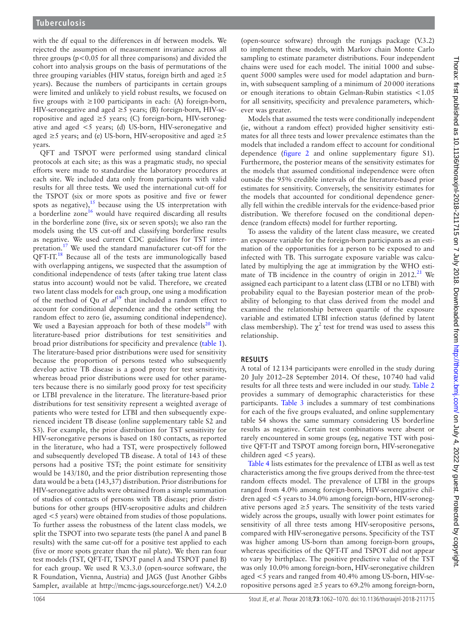with the df equal to the differences in df between models. We rejected the assumption of measurement invariance across all three groups  $(p<0.05$  for all three comparisons) and divided the cohort into analysis groups on the basis of permutations of the three grouping variables (HIV status, foreign birth and aged  $\geq$ 5 years). Because the numbers of participants in certain groups were limited and unlikely to yield robust results, we focused on five groups with  $\geq 100$  participants in each: (A) foreign-born, HIV-seronegative and aged  $\geq$  5 years; (B) foreign-born, HIV-seropositive and aged ≥5 years; (C) foreign-born, HIV-seronegative and aged <5 years; (d) US-born, HIV-seronegative and aged  $\geq$ 5 years; and (e) US-born, HIV-seropositive and aged  $\geq$ 5 years.

QFT and TSPOT were performed using standard clinical protocols at each site; as this was a pragmatic study, no special efforts were made to standardise the laboratory procedures at each site. We included data only from participants with valid results for all three tests. We used the international cut-off for the TSPOT (six or more spots as positive and five or fewer spots as negative), $^{15}$  $^{15}$  $^{15}$  because using the US interpretation with  $\alpha$  borderline zone<sup>[16](#page-7-7)</sup> would have required discarding all results in the borderline zone (five, six or seven spots); we also ran the models using the US cut-off and classifying borderline results as negative. We used current CDC guidelines for TST interpretation.[17](#page-7-8) We used the standard manufacturer cut-off for the QFT-IT.[18](#page-7-9) Because all of the tests are immunologically based with overlapping antigens, we suspected that the assumption of conditional independence of tests (after taking true latent class status into account) would not be valid. Therefore, we created two latent class models for each group, one using a modification of the method of Qu *et al*[19](#page-7-10) that included a random effect to account for conditional dependence and the other setting the random effect to zero (ie, assuming conditional independence). We used a Bayesian approach for both of these models $^{20}$  with literature-based prior distributions for test sensitivities and broad prior distributions for specificity and prevalence [\(table](#page-3-0) 1). The literature-based prior distributions were used for sensitivity because the proportion of persons tested who subsequently develop active TB disease is a good proxy for test sensitivity, whereas broad prior distributions were used for other parameters because there is no similarly good proxy for test specificity or LTBI prevalence in the literature. The literature-based prior distributions for test sensitivity represent a weighted average of patients who were tested for LTBI and then subsequently experienced incident TB disease (online [supplementary table S2 and](https://dx.doi.org/10.1136/thoraxjnl-2018-211715)  [S3\)](https://dx.doi.org/10.1136/thoraxjnl-2018-211715). For example, the prior distribution for TST sensitivity for HIV-seronegative persons is based on 180 contacts, as reported in the literature, who had a TST, were prospectively followed and subsequently developed TB disease. A total of 143 of these persons had a positive TST; the point estimate for sensitivity would be 143/180, and the prior distribution representing those data would be a beta (143,37) distribution. Prior distributions for HIV-seronegative adults were obtained from a simple summation of studies of contacts of persons with TB disease; prior distributions for other groups (HIV-seropositive adults and children aged <5 years) were obtained from studies of those populations. To further assess the robustness of the latent class models, we split the TSPOT into two separate tests (the panel A and panel B results) with the same cut-off for a positive test applied to each (five or more spots greater than the nil plate). We then ran four test models (TST, QFT-IT, TSPOT panel A and TSPOT panel B) for each group. We used R V.3.3.0 (open-source software, the R Foundation, Vienna, Austria) and JAGS (Just Another Gibbs Sampler, available at <http://mcmc-jags.sourceforge.net/>) V.4.2.0

(open-source software) through the runjags package (V.3.2) to implement these models, with Markov chain Monte Carlo sampling to estimate parameter distributions. Four independent chains were used for each model. The initial 1000 and subsequent 5000 samples were used for model adaptation and burnin, with subsequent sampling of a minimum of 20000 iterations or enough iterations to obtain Gelman-Rubin statistics <1.05 for all sensitivity, specificity and prevalence parameters, whichever was greater.

Models that assumed the tests were conditionally independent (ie, without a random effect) provided higher sensitivity estimates for all three tests and lower prevalence estimates than the models that included a random effect to account for conditional dependence ([figure](#page-4-0) 2 and online [supplementary figure S1\)](https://dx.doi.org/10.1136/thoraxjnl-2018-211715). Furthermore, the posterior means of the sensitivity estimates for the models that assumed conditional independence were often outside the 95% credible intervals of the literature-based prior estimates for sensitivity. Conversely, the sensitivity estimates for the models that accounted for conditional dependence generally fell within the credible intervals for the evidence-based prior distribution. We therefore focused on the conditional dependence (random effects) model for further reporting.

To assess the validity of the latent class measure, we created an exposure variable for the foreign-born participants as an estimation of the opportunities for a person to be exposed to and infected with TB. This surrogate exposure variable was calculated by multiplying the age at immigration by the WHO estimate of TB incidence in the country of origin in  $2012<sup>21</sup>$  $2012<sup>21</sup>$  $2012<sup>21</sup>$  We assigned each participant to a latent class (LTBI or no LTBI) with probability equal to the Bayesian posterior mean of the probability of belonging to that class derived from the model and examined the relationship between quartile of the exposure variable and estimated LTBI infection status (defined by latent class membership). The  $\chi^2$  test for trend was used to assess this relationship.

#### **Results**

A total of 12134 participants were enrolled in the study during 20 July 2012–28 September 2014. Of these, 10740 had valid results for all three tests and were included in our study. [Table](#page-4-1) 2 provides a summary of demographic characteristics for these participants. [Table](#page-5-0) 3 includes a summary of test combinations for each of the five groups evaluated, and online [supplementary](https://dx.doi.org/10.1136/thoraxjnl-2018-211715) [table S4](https://dx.doi.org/10.1136/thoraxjnl-2018-211715) shows the same summary considering US borderline results as negative. Certain test combinations were absent or rarely encountered in some groups (eg, negative TST with positive QFT-IT and TSPOT among foreign born, HIV-seronegative children aged <5 years).

[Table](#page-5-1) 4 lists estimates for the prevalence of LTBI as well as test characteristics among the five groups derived from the three-test random effects model. The prevalence of LTBI in the groups ranged from 4.0% among foreign-born, HIV-seronegative children aged <5 years to 34.0% among foreign-born, HIV-seronegative persons aged  $\geq$ 5 years. The sensitivity of the tests varied widely across the groups, usually with lower point estimates for sensitivity of all three tests among HIV-seropositive persons, compared with HIV-seronegative persons. Specificity of the TST was higher among US-born than among foreign-born groups, whereas specificities of the QFT-IT and TSPOT did not appear to vary by birthplace. The positive predictive value of the TST was only 10.0% among foreign-born, HIV-seronegative children aged <5 years and ranged from 40.4% among US-born, HIV-seropositive persons aged  $\geq$  5 years to 69.2% among foreign-born,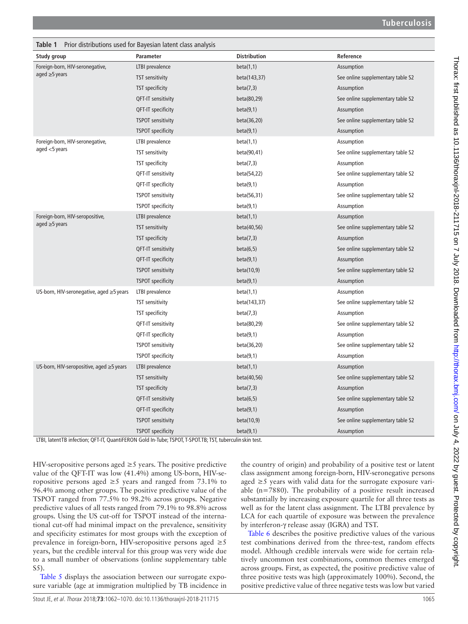#### <span id="page-3-0"></span>**Table 1** Prior distributions used for Bayesian latent class analysis

| Study group                              | Parameter                 | <b>Distribution</b> | Reference                         |
|------------------------------------------|---------------------------|---------------------|-----------------------------------|
| Foreign-born, HIV-seronegative,          | LTBI prevalence           | beta(1,1)           | Assumption                        |
| aged $\geq$ 5 years                      | <b>TST sensitivity</b>    | beta(143,37)        | See online supplementary table S2 |
|                                          | <b>TST</b> specificity    | beta(7,3)           | Assumption                        |
|                                          | QFT-IT sensitivity        | beta(80,29)         | See online supplementary table S2 |
|                                          | QFT-IT specificity        | beta(9,1)           | Assumption                        |
|                                          | <b>TSPOT</b> sensitivity  | beta(36,20)         | See online supplementary table S2 |
|                                          | <b>TSPOT</b> specificity  | beta(9,1)           | Assumption                        |
| Foreign-born, HIV-seronegative,          | LTBI prevalence           | beta(1,1)           | Assumption                        |
| aged $<$ 5 years                         | <b>TST sensitivity</b>    | beta(90,41)         | See online supplementary table S2 |
|                                          | <b>TST</b> specificity    | beta(7,3)           | Assumption                        |
|                                          | QFT-IT sensitivity        | beta(54,22)         | See online supplementary table S2 |
|                                          | QFT-IT specificity        | beta(9,1)           | Assumption                        |
|                                          | <b>TSPOT</b> sensitivity  | beta(56,31)         | See online supplementary table S2 |
|                                          | <b>TSPOT</b> specificity  | beta(9,1)           | Assumption                        |
| Foreign-born, HIV-seropositive,          | LTBI prevalence           | beta(1,1)           | Assumption                        |
| aged $\geq$ 5 years                      | <b>TST</b> sensitivity    | beta(40,56)         | See online supplementary table S2 |
|                                          | <b>TST</b> specificity    | beta(7,3)           | Assumption                        |
|                                          | <b>QFT-IT sensitivity</b> | beta(6,5)           | See online supplementary table S2 |
|                                          | QFT-IT specificity        | beta(9,1)           | Assumption                        |
|                                          | <b>TSPOT</b> sensitivity  | beta(10,9)          | See online supplementary table S2 |
|                                          | <b>TSPOT</b> specificity  | beta(9,1)           | Assumption                        |
| US-born, HIV-seronegative, aged ≥5 years | LTBI prevalence           | beta(1,1)           | Assumption                        |
|                                          | <b>TST</b> sensitivity    | beta(143,37)        | See online supplementary table S2 |
|                                          | <b>TST</b> specificity    | beta(7,3)           | Assumption                        |
|                                          | QFT-IT sensitivity        | beta(80,29)         | See online supplementary table S2 |
|                                          | QFT-IT specificity        | beta(9,1)           | Assumption                        |
|                                          | <b>TSPOT</b> sensitivity  | beta(36,20)         | See online supplementary table S2 |
|                                          | <b>TSPOT</b> specificity  | beta(9,1)           | Assumption                        |
| US-born, HIV-seropositive, aged ≥5 years | LTBI prevalence           | beta(1,1)           | Assumption                        |
|                                          | <b>TST sensitivity</b>    | beta(40,56)         | See online supplementary table S2 |
|                                          | <b>TST</b> specificity    | beta(7,3)           | Assumption                        |
|                                          | QFT-IT sensitivity        | beta(6,5)           | See online supplementary table S2 |
|                                          | QFT-IT specificity        | beta(9,1)           | Assumption                        |
|                                          | <b>TSPOT</b> sensitivity  | beta(10,9)          | See online supplementary table S2 |
|                                          | <b>TSPOT</b> specificity  | beta(9,1)           | Assumption                        |

LTBI, latentTB infection; QFT-IT, QuantiFERON Gold In-Tube; TSPOT, T-SPOT.TB; TST, tuberculin skin test.

HIV-seropositive persons aged  $\geq$ 5 years. The positive predictive value of the QFT-IT was low (41.4%) among US-born, HIV-seropositive persons aged  $\geq$ 5 years and ranged from 73.1% to 96.4% among other groups. The positive predictive value of the TSPOT ranged from 77.5% to 98.2% across groups. Negative predictive values of all tests ranged from 79.1% to 98.8% across groups. Using the US cut-off for TSPOT instead of the international cut-off had minimal impact on the prevalence, sensitivity and specificity estimates for most groups with the exception of prevalence in foreign-born, HIV-seropositive persons aged  $\geq 5$ years, but the credible interval for this group was very wide due to a small number of observations (online [supplementary table](https://dx.doi.org/10.1136/thoraxjnl-2018-211715)  [S5\)](https://dx.doi.org/10.1136/thoraxjnl-2018-211715).

[Table](#page-6-0) 5 displays the association between our surrogate exposure variable (age at immigration multiplied by TB incidence in

the country of origin) and probability of a positive test or latent class assignment among foreign-born, HIV-seronegative persons aged ≥5 years with valid data for the surrogate exposure variable (n=7880). The probability of a positive result increased substantially by increasing exposure quartile for all three tests as well as for the latent class assignment. The LTBI prevalence by LCA for each quartile of exposure was between the prevalence by interferon-γ release assay (IGRA) and TST.

[Table](#page-6-1) 6 describes the positive predictive values of the various test combinations derived from the three-test, random effects model. Although credible intervals were wide for certain relatively uncommon test combinations, common themes emerged across groups. First, as expected, the positive predictive value of three positive tests was high (approximately 100%). Second, the positive predictive value of three negative tests was low but varied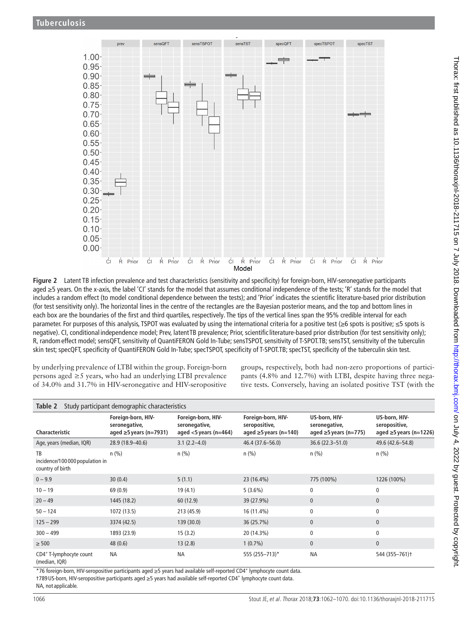

<span id="page-4-0"></span>**Figure 2** Latent TB infection prevalence and test characteristics (sensitivity and specificity) for foreign-born, HIV-seronegative participants aged ≥5 years. On the x-axis, the label 'CI' stands for the model that assumes conditional independence of the tests; 'R' stands for the model that includes a random effect (to model conditional dependence between the tests); and 'Prior' indicates the scientific literature-based prior distribution (for test sensitivity only). The horizontal lines in the centre of the rectangles are the Bayesian posterior means, and the top and bottom lines in each box are the boundaries of the first and third quartiles, respectively. The tips of the vertical lines span the 95% credible interval for each parameter. For purposes of this analysis, TSPOT was evaluated by using the international criteria for a positive test (≥6 spots is positive; ≤5 spots is negative). CI, conditional independence model; Prev, latentTB prevalence; Prior, scientificliterature-based prior distribution (for test sensitivity only); R, randomeffect model; sensQFT, sensitivity of QuantiFERON Gold In-Tube; sensTSPOT, sensitivity of T-SPOT.TB; sensTST, sensitivity of the tuberculin skin test; specQFT, specificity of QuantiFERON Gold In-Tube; specTSPOT, specificity of T-SPOT.TB; specTST, specificity of the tuberculin skin test.

by underlying prevalence of LTBI within the group. Foreign-born persons aged  $\geq$ 5 years, who had an underlying LTBI prevalence of 34.0% and 31.7% in HIV-seronegative and HIV-seropositive groups, respectively, both had non-zero proportions of participants (4.8% and 12.7%) with LTBI, despite having three negative tests. Conversely, having an isolated positive TST (with the

<span id="page-4-1"></span>

| Table 2<br>Study participant demographic characteristics  |                                                                     |                                                                 |                                                                    |                                                               |                                                                |
|-----------------------------------------------------------|---------------------------------------------------------------------|-----------------------------------------------------------------|--------------------------------------------------------------------|---------------------------------------------------------------|----------------------------------------------------------------|
| Characteristic                                            | Foreign-born, HIV-<br>seronegative,<br>aged $\geq$ 5 years (n=7931) | Foreign-born, HIV-<br>seronegative,<br>aged $<$ 5 years (n=464) | Foreign-born, HIV-<br>seropositive,<br>aged $\geq$ 5 years (n=140) | US-born, HIV-<br>seronegative,<br>aged $\geq$ 5 years (n=775) | US-born, HIV-<br>seropositive,<br>aged $\geq$ 5 years (n=1226) |
| Age, years (median, IQR)                                  | 28.9 (18.9-40.6)                                                    | $3.1(2.2 - 4.0)$                                                | 46.4 (37.6-56.0)                                                   | $36.6(22.3 - 51.0)$                                           | 49.6 (42.6-54.8)                                               |
| TB<br>incidence/100 000 population in<br>country of birth | $n$ (%)                                                             | $n$ (%)                                                         | $n$ (%)                                                            | $n$ (%)                                                       | $n$ (%)                                                        |
| $0 - 9.9$                                                 | 30(0.4)                                                             | 5(1.1)                                                          | 23 (16.4%)                                                         | 775 (100%)                                                    | 1226 (100%)                                                    |
| $10 - 19$                                                 | 69 (0.9)                                                            | 19(4.1)                                                         | $5(3.6\%)$                                                         | $\mathbf 0$                                                   | 0                                                              |
| $20 - 49$                                                 | 1445 (18.2)                                                         | 60(12.9)                                                        | 39 (27.9%)                                                         | $\mathbf{0}$                                                  | 0                                                              |
| $50 - 124$                                                | 1072 (13.5)                                                         | 213 (45.9)                                                      | 16 (11.4%)                                                         | $\mathbf 0$                                                   | 0                                                              |
| $125 - 299$                                               | 3374 (42.5)                                                         | 139(30.0)                                                       | 36 (25.7%)                                                         | $\mathbf{0}$                                                  | $\mathbf{0}$                                                   |
| $300 - 499$                                               | 1893 (23.9)                                                         | 15(3.2)                                                         | 20 (14.3%)                                                         | $\mathbf 0$                                                   | 0                                                              |
| $\geq 500$                                                | 48(0.6)                                                             | 13(2.8)                                                         | $1(0.7\%)$                                                         | $\mathbf{0}$                                                  | $\mathbf{0}$                                                   |
| CD4 <sup>+</sup> T-lymphocyte count<br>(median, IQR)      | <b>NA</b>                                                           | <b>NA</b>                                                       | 555 (255-713)*                                                     | <b>NA</b>                                                     | 544 (355-761)+                                                 |

\*76 foreign-born, HIV-seropositive participants aged ≥5 years had available self-reported CD4+ lymphocyte count data.

†789US-born, HIV-seropositive participants aged ≥5 years had available self-reported CD4+ lymphocyte count data.

NA, not applicable.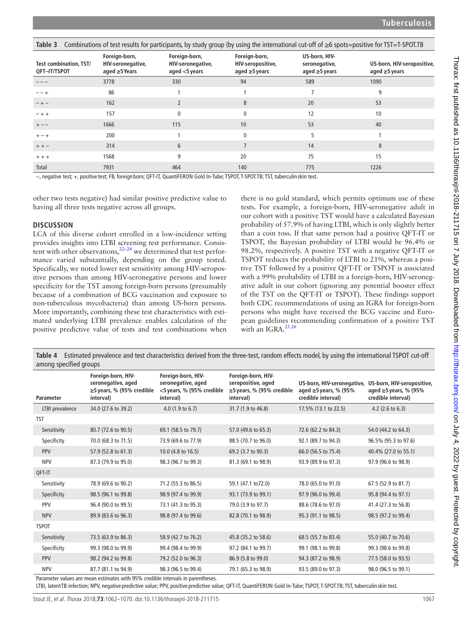<span id="page-5-0"></span>

| Combinations of test results for participants, by study group (by using the international cut-off of $\geq 6$ spots=positive for TST=T-SPOT.TB<br>Table 3 |                                                           |                                                     |                                                           |                                                       |                                                   |  |
|-----------------------------------------------------------------------------------------------------------------------------------------------------------|-----------------------------------------------------------|-----------------------------------------------------|-----------------------------------------------------------|-------------------------------------------------------|---------------------------------------------------|--|
| <b>Test combination, TST/</b><br><b>QFT-IT/TSPOT</b>                                                                                                      | Foreign-born,<br>HIV-seronegative,<br>aged $\geq$ 5 Years | Foreign-born,<br>HIV-seronegative,<br>aged <5 years | Foreign-born,<br>HIV-seropositive,<br>aged $\geq$ 5 years | US-born, HIV-<br>seronegative,<br>aged $\geq$ 5 years | US-born, HIV-seropositive,<br>aged $\geq$ 5 years |  |
|                                                                                                                                                           | 3778                                                      | 330                                                 | 94                                                        | 589                                                   | 1090                                              |  |
|                                                                                                                                                           | 86                                                        |                                                     |                                                           |                                                       | 9                                                 |  |
| $- + -$                                                                                                                                                   | 162                                                       |                                                     | 8                                                         | 20                                                    | 53                                                |  |
| $- + +$                                                                                                                                                   | 157                                                       | $\Omega$                                            | $\mathbf{0}$                                              | 12                                                    | 10                                                |  |
| $+ - -$                                                                                                                                                   | 1666                                                      | 115                                                 | 10                                                        | 53                                                    | 40                                                |  |
| $+-+$                                                                                                                                                     | 200                                                       |                                                     | $\mathbf{0}$                                              | 5                                                     |                                                   |  |
| $++-$                                                                                                                                                     | 314                                                       | 6                                                   |                                                           | 14                                                    | 8                                                 |  |
| $+ + +$                                                                                                                                                   | 1568                                                      | 9                                                   | 20                                                        | 75                                                    | 15                                                |  |
| Total                                                                                                                                                     | 7931                                                      | 464                                                 | 140                                                       | 775                                                   | 1226                                              |  |

−, negative test; +, positive test; FB, foreign born; QFT-IT, QuantiFERON Gold In-Tube; TSPOT, T-SPOT.TB; TST, tuberculin skin test.

other two tests negative) had similar positive predictive value to having all three tests negative across all groups.

#### **Discussion**

LCA of this diverse cohort enrolled in a low-incidence setting provides insights into LTBI screening test performance. Consistent with other observations, $22-24$  we determined that test performance varied substantially, depending on the group tested. Specifically, we noted lower test sensitivity among HIV-seropositive persons than among HIV-seronegative persons and lower specificity for the TST among foreign-born persons (presumably because of a combination of BCG vaccination and exposure to non-tuberculous mycobacteria) than among US-born persons. More importantly, combining these test characteristics with estimated underlying LTBI prevalence enables calculation of the positive predictive value of tests and test combinations when

there is no gold standard, which permits optimum use of these tests. For example, a foreign-born, HIV-seronegative adult in our cohort with a positive TST would have a calculated Bayesian probability of 57.9% of having LTBI, which is only slightly better than a coin toss. If that same person had a positive QFT-IT or TSPOT, the Bayesian probability of LTBI would be 96.4% or 98.2%, respectively. A positive TST with a negative QFT-IT or TSPOT reduces the probability of LTBI to 21%, whereas a positive TST followed by a positive QFT-IT or TSPOT is associated with a 99% probability of LTBI in a foreign-born, HIV-seronegative adult in our cohort (ignoring any potential booster effect of the TST on the QFT-IT or TSPOT). These findings support both CDC recommendations of using an IGRA for foreign-born persons who might have received the BCG vaccine and European guidelines recommending confirmation of a positive TST with an IGRA.<sup>25</sup> 26

<span id="page-5-1"></span>**Table 4** Estimated prevalence and test characteristics derived from the three-test, random effects model, by using the international TSPOT cut-off among specified groups

| Parameter       | Foreign-born, HIV-<br>seronegative, aged<br>≥5 years, % (95% credible<br>interval) | Foreign-born, HIV-<br>seronegative, aged<br><5 years, % (95% credible<br>interval) | Foreign-born, HIV-<br>seropositive, aged<br>≥5 years, % (95% credible<br>interval) | US-born, HIV-seronegative,<br>aged $\geq$ 5 years, % (95%<br>credible interval) | US-born, HIV-seropositive,<br>aged $\geq$ 5 years, % (95%<br>credible interval) |
|-----------------|------------------------------------------------------------------------------------|------------------------------------------------------------------------------------|------------------------------------------------------------------------------------|---------------------------------------------------------------------------------|---------------------------------------------------------------------------------|
| LTBI prevalence | 34.0 (27.6 to 39.2)                                                                | $4.0$ (1.9 to 6.7)                                                                 | 31.7 (1.9 to 46.8)                                                                 | 17.5% (13.1 to 22.5)                                                            | 4.2 $(2.6 \text{ to } 6.3)$                                                     |
| TST             |                                                                                    |                                                                                    |                                                                                    |                                                                                 |                                                                                 |
| Sensitivity     | 80.7 (72.6 to 90.5)                                                                | 69.1 (58.5 to 79.7)                                                                | 57.0 (49.6 to 65.3)                                                                | 72.6 (62.2 to 84.3)                                                             | 54.0 (44.2 to 64.3)                                                             |
| Specificity     | 70.0 (68.3 to 71.5)                                                                | 73.9 (69.6 to 77.9)                                                                | 88.5 (70.7 to 96.0)                                                                | 92.1 (89.7 to 94.3)                                                             | 96.5% (95.3 to 97.6)                                                            |
| <b>PPV</b>      | 57.9 (52.8 to 61.3)                                                                | 10.0 (4.8 to 16.5)                                                                 | 69.2 (3.7 to 90.3)                                                                 | 66.0 (56.5 to 75.4)                                                             | 40.4% (27.0 to 55.1)                                                            |
| <b>NPV</b>      | 87.3 (79.9 to 95.0)                                                                | 98.3 (96.7 to 99.3)                                                                | 81.3 (69.1 to 98.9)                                                                | 93.9 (89.9 to 97.3)                                                             | 97.9 (96.6 to 98.9)                                                             |
| QFT-IT          |                                                                                    |                                                                                    |                                                                                    |                                                                                 |                                                                                 |
| Sensitivity     | 78.9 (69.6 to 90.2)                                                                | 71.2 (55.3 to 86.5)                                                                | 59.1 (47.1 to 72.0)                                                                | 78.0 (65.0 to 91.0)                                                             | 67.5 (52.9 to 81.7)                                                             |
| Specificity     | 98.5 (96.1 to 99.8)                                                                | 98.9 (97.4 to 99.9)                                                                | 93.1 (73.9 to 99.1)                                                                | 97.9 (96.0 to 99.4)                                                             | 95.8 (94.4 to 97.1)                                                             |
| <b>PPV</b>      | 96.4 (90.0 to 99.5)                                                                | 73.1 (41.3 to 95.3)                                                                | 79.0 (3.9 to 97.7)                                                                 | 88.6 (78.6 to 97.0)                                                             | 41.4 (27.3 to 56.8)                                                             |
| <b>NPV</b>      | 89.9 (83.6 to 96.3)                                                                | 98.8 (97.4 to 99.6)                                                                | 82.8 (70.1 to 98.9)                                                                | 95.3 (91.1 to 98.5)                                                             | 98.5 (97.2 to 99.4)                                                             |
| <b>TSPOT</b>    |                                                                                    |                                                                                    |                                                                                    |                                                                                 |                                                                                 |
| Sensitivity     | 73.5 (63.9 to 86.3)                                                                | 58.9 (42.7 to 76.2)                                                                | 45.8 (35.2 to 58.6)                                                                | 68.5 (55.7 to 83.4)                                                             | 55.0 (40.7 to 70.6)                                                             |
| Specificity     | 99.3 (98.0 to 99.9)                                                                | 99.4 (98.4 to 99.9)                                                                | 97.2 (84.1 to 99.7)                                                                | 99.1 (98.1 to 99.8)                                                             | 99.3 (98.6 to 99.8)                                                             |
| <b>PPV</b>      | 98.2 (94.2 to 99.8)                                                                | 79.2 (52.0 to 96.3)                                                                | 86.9 (5.8 to 99.0)                                                                 | 94.3 (87.2 to 98.9)                                                             | 77.5 (58.0 to 93.5)                                                             |
| <b>NPV</b>      | 87.7 (81.1 to 94.9)                                                                | 98.3 (96.5 to 99.4)                                                                | 79.1 (65.3 to 98.9)                                                                | 93.5 (89.0 to 97.3)                                                             | 98.0 (96.5 to 99.1)                                                             |
|                 | Parameter values are mean estimates with 95% credible intervals in parentheses     |                                                                                    |                                                                                    |                                                                                 |                                                                                 |

Parameter values are mean estimates with 95% credible intervals in parentheses.

LTBI, latentTB infection; NPV, negative predictive value; PPV, positive predictive value; QFT-IT, QuantiFERON Gold In-Tube; TSPOT, T-SPOT.TB; TST, tuberculin skin test.

Stout JE, et al. Thorax 2018;**73**:1062-1070. doi:10.1136/thoraxjnl-2018-211715 1067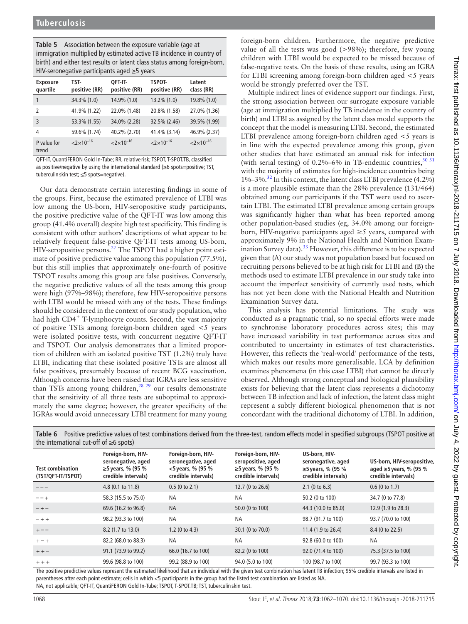<span id="page-6-0"></span>**Table 5** Association between the exposure variable (age at immigration multiplied by estimated active TB incidence in country of birth) and either test results or latent class status among foreign-born, HIV-seronegative participants aged ≥5 years

| <b>Exposure</b><br>quartile | TST-<br>positive (RR) | OFT-IT-<br>positive (RR)         | <b>TSPOT-</b><br>positive (RR)   | Latent<br>class (RR)             |
|-----------------------------|-----------------------|----------------------------------|----------------------------------|----------------------------------|
|                             | 34.3% (1.0)           | 14.9% (1.0)                      | 13.2% (1.0)                      | 19.8% (1.0)                      |
| 2                           | 41.9% (1.22)          | 22.0% (1.48)                     | 20.8% (1.58)                     | 27.0% (1.36)                     |
| 3                           | 53.3% (1.55)          | 34.0% (2.28)                     | 32.5% (2.46)                     | 39.5% (1.99)                     |
| 4                           | 59.6% (1.74)          | 40.2% (2.70)                     | 41.4% (3.14)                     | 46.9% (2.37)                     |
| P value for<br>trend        | $< 2 \times 10^{-16}$ | $<$ 2 $\times$ 10 <sup>-16</sup> | $<$ 2 $\times$ 10 <sup>-16</sup> | $<$ 2 $\times$ 10 <sup>-16</sup> |

QFT-IT, QuantiFERON Gold In-Tube; RR, relative risk; TSPOT, T-SPOT.TB, classified as positive/negative by using the international standard (≥6 spots=positive; TST, tuberculin skin test; ≤5 spots=negative).

Our data demonstrate certain interesting findings in some of the groups. First, because the estimated prevalence of LTBI was low among the US-born, HIV-seropositive study participants, the positive predictive value of the QFT-IT was low among this group (41.4% overall) despite high test specificity. This finding is consistent with other authors' descriptions of what appear to be relatively frequent false-positive QFT-IT tests among US-born, HIV-seropositive persons.<sup>[27](#page-8-1)</sup> The TSPOT had a higher point estimate of positive predictive value among this population (77.5%), but this still implies that approximately one-fourth of positive TSPOT results among this group are false positives. Conversely, the negative predictive values of all the tests among this group were high (97%–98%); therefore, few HIV-seropositive persons with LTBI would be missed with any of the tests. These findings should be considered in the context of our study population, who had high CD4<sup>+</sup> T-lymphocyte counts. Second, the vast majority of positive TSTs among foreign-born children aged <5 years were isolated positive tests, with concurrent negative QFT-IT and TSPOT. Our analysis demonstrates that a limited proportion of children with an isolated positive TST (1.2%) truly have LTBI, indicating that these isolated positive TSTs are almost all false positives, presumably because of recent BCG vaccination. Although concerns have been raised that IGRAs are less sensitive than TSTs among young children, $^{28}$  29 our results demonstrate that the sensitivity of all three tests are suboptimal to approximately the same degree; however, the greater specificity of the IGRAs would avoid unnecessary LTBI treatment for many young

foreign-born children. Furthermore, the negative predictive value of all the tests was good (>98%); therefore, few young children with LTBI would be expected to be missed because of false-negative tests. On the basis of these results, using an IGRA for LTBI screening among foreign-born children aged <5 years would be strongly preferred over the TST.

Multiple indirect lines of evidence support our findings. First, the strong association between our surrogate exposure variable (age at immigration multiplied by TB incidence in the country of birth) and LTBI as assigned by the latent class model supports the concept that the model is measuring LTBI. Second, the estimated LTBI prevalence among foreign-born children aged <5 years is in line with the expected prevalence among this group, given other studies that have estimated an annual risk for infection (with serial testing) of  $0.2\% - 6\%$  in TB-endemic countries,  $30\frac{31}{100}$ with the majority of estimates for high-incidence countries being  $1\% - 3\%$ .<sup>[32](#page-8-4)</sup> In this context, the latent class LTBI prevalence (4.2%) is a more plausible estimate than the 28% prevalence (131/464) obtained among our participants if the TST were used to ascertain LTBI. The estimated LTBI prevalence among certain groups was significantly higher than what has been reported among other population-based studies (eg, 34.0% among our foreignborn, HIV-negative participants aged  $\geq$ 5 years, compared with approximately 9% in the National Health and Nutrition Examination Survey data). $33$  However, this difference is to be expected given that (A) our study was not population based but focused on recruiting persons believed to be at high risk for LTBI and (B) the methods used to estimate LTBI prevalence in our study take into account the imperfect sensitivity of currently used tests, which has not yet been done with the National Health and Nutrition Examination Survey data.

This analysis has potential limitations. The study was conducted as a pragmatic trial, so no special efforts were made to synchronise laboratory procedures across sites; this may have increased variability in test performance across sites and contributed to uncertainty in estimates of test characteristics. However, this reflects the 'real-world' performance of the tests, which makes our results more generalisable. LCA by definition examines phenomena (in this case LTBI) that cannot be directly observed. Although strong conceptual and biological plausibility exists for believing that the latent class represents a dichotomy between TB infection and lack of infection, the latent class might represent a subtly different biological phenomenon that is not concordant with the traditional dichotomy of LTBI. In addition,

| the international cut-off of $\geq 6$ spots)  |                                                                                      |                                                                                      |                                                                                      |                                                                                 |                                                                                   |
|-----------------------------------------------|--------------------------------------------------------------------------------------|--------------------------------------------------------------------------------------|--------------------------------------------------------------------------------------|---------------------------------------------------------------------------------|-----------------------------------------------------------------------------------|
| <b>Test combination</b><br>(TST/QFT-IT/TSPOT) | Foreign-born, HIV-<br>seronegative, aged<br>≥5 years, % (95 %<br>credible intervals) | Foreign-born, HIV-<br>seronegative, aged<br><5 years, % (95 %<br>credible intervals) | Foreign-born, HIV-<br>seropositive, aged<br>≥5 years, % (95 %<br>credible intervals) | US-born, HIV-<br>seronegative, aged<br>≥5 years, % (95 %<br>credible intervals) | US-born, HIV-seropositive,<br>aged $\geq$ 5 years, % (95 %<br>credible intervals) |
|                                               | 4.8 (0.1 to 11.8)                                                                    | 0.5(0 to 2.1)                                                                        | 12.7 (0 to 26.6)                                                                     | $2.1$ (0 to 6.3)                                                                | $0.6$ (0 to 1.7)                                                                  |
| $-- +$                                        | 58.3 (15.5 to 75.0)                                                                  | <b>NA</b>                                                                            | <b>NA</b>                                                                            | 50.2 (0 to 100)                                                                 | 34.7 (0 to 77.8)                                                                  |
| $- + -$                                       | 69.6 (16.2 to 96.8)                                                                  | <b>NA</b>                                                                            | 50.0 (0 to 100)                                                                      | 44.3 (10.0 to 85.0)                                                             | 12.9 (1.9 to 28.3)                                                                |
| $- + +$                                       | 98.2 (93.3 to 100)                                                                   | <b>NA</b>                                                                            | <b>NA</b>                                                                            | 98.7 (91.7 to 100)                                                              | 93.7 (70.0 to 100)                                                                |
| $+ - -$                                       | 8.2 (1.7 to 13.0)                                                                    | $1.2$ (0 to 4.3)                                                                     | 30.1 (0 to 70.0)                                                                     | 11.4 (1.9 to 26.4)                                                              | 8.4 (0 to 22.5)                                                                   |
| $+-+$                                         | 82.2 (68.0 to 88.3)                                                                  | <b>NA</b>                                                                            | <b>NA</b>                                                                            | 92.8 (60.0 to 100)                                                              | <b>NA</b>                                                                         |
| $++-$                                         | 91.1 (73.9 to 99.2)                                                                  | 66.0 (16.7 to 100)                                                                   | 82.2 (0 to 100)                                                                      | 92.0 (71.4 to 100)                                                              | 75.3 (37.5 to 100)                                                                |
| $+ + +$                                       | 99.6 (98.8 to 100)                                                                   | 99.2 (88.9 to 100)                                                                   | 94.0 (5.0 to 100)                                                                    | 100 (98.7 to 100)                                                               | 99.7 (93.3 to 100)                                                                |

<span id="page-6-1"></span>**Table 6** Positive predictive values of test combinations derived from the three-test, random effects model in specified subgroups (TSPOT positive at

The positive predictive values represent the estimated likelihood that an individual with the given test combination has latent TB infection; 95% credible intervals are listed in parentheses after each point estimate; cells in which <5 participants in the group had the listed test combination are listed as NA. NA, not applicable; QFT-IT, QuantiFERON Gold In-Tube; TSPOT, T-SPOT.TB; TST, tuberculin skin test.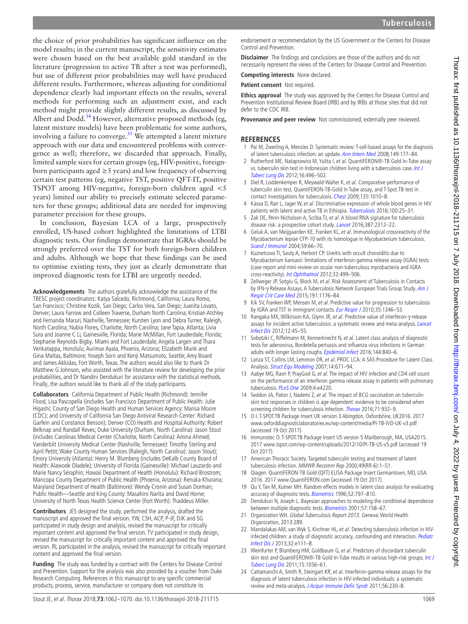the choice of prior probabilities has significant influence on the model results; in the current manuscript, the sensitivity estimates were chosen based on the best available gold standard in the literature (progression to active TB after a test was performed), but use of different prior probabilities may well have produced different results. Furthermore, whereas adjusting for conditional dependence clearly had important effects on the results, several methods for performing such an adjustment exist, and each method might provide slightly different results, as discussed by Albert and Dodd.<sup>34</sup> However, alternative proposed methods (eg, latent mixture models) have been problematic for some authors, involving a failure to converge.<sup>35</sup> We attempted a latent mixture approach with our data and encountered problems with convergence as well; therefore, we discarded that approach. Finally, limited sample sizes for certain groups (eg, HIV-positive, foreignborn participants aged  $\geq$  5 years) and low frequency of observing certain test patterns (eg, negative TST, positive QFT-IT, positive TSPOT among HIV-negative, foreign-born children aged <5 years) limited our ability to precisely estimate selected parameters for these groups; additional data are needed for improving parameter precision for these groups.

In conclusion, Bayesian LCA of a large, prospectively enrolled, US-based cohort highlighted the limitations of LTBI diagnostic tests. Our findings demonstrate that IGRAs should be strongly preferred over the TST for both foreign-born children and adults. Although we hope that these findings can be used to optimise existing tests, they just as clearly demonstrate that improved diagnostic tests for LTBI are urgently needed.

**Acknowledgements** The authors gratefully acknowledge the assistance of the TBESC project coordinators: Katya Salcedo, Richmond, California; Laura Romo, San Francisco; Christine Kozik, San Diego; Carlos Vera, San Diego; Juanita Lovato, Denver; Laura Farrow and Colleen Traverse, Durham North Carolina; Kristian Atchley and Fernanda Maruri, Nashville, Tennessee; Kursten Lyon and Debra Turner, Raleigh, North Carolina; Nubia Flores, Charlotte, North Carolina; Jane Tapia, Atlanta; Livia Sura and Joanne C Li, Gainesville, Florida; Marie McMillan, Fort Lauderdale, Florida; Stephanie Reynolds-Bigby, Miami and Fort Lauderdale; Angela Largen and Thara Venkatappa, Honolulu; Aurimar Ayala, Phoenix, Arizona; Elizabeth Munk and Gina Maltas, Baltimore; Yoseph Sorri and Kenji Matsumoto, Seattle; Amy Board and James Akkidas, Fort Worth, Texas. The authors would also like to thank Dr Matthew G Johnson, who assisted with the literature review for developing the prior probabilities, and Dr Nandini Dendukuri for assistance with the statistical methods. Finally, the authors would like to thank all of the study participants.

**Collaborators** California Department of Public Health (Richmond): Jennifer Flood, Lisa Pascopella (includes San Francisco Department of Public Health: Julie Higashi; County of San Diego Health and Human Services Agency: Marisa Moore (CDC); and University of California San Diego Antiviral Research Center: Richard Garfein and Constance Benson); Denver (CO) Health and Hospital Authority: Robert Belknap and Randall Reves; Duke University (Durham, North Carolina): Jason Stout (includes Carolinas Medical Center (Charlotte, North Carolina): Amina Ahmed; Vanderbilt University Medical Center (Nashville, Tennessee): Timothy Sterling and April Pettit; Wake County Human Services (Raleigh, North Carolina): Jason Stout); Emory University (Atlanta): Henry M. Blumberg (includes DeKalb County Board of Health: Alawode Oladele); University of Florida (Gainesville): Michael Lauzardo and Marie Nancy Séraphin; Hawaii Department of Health (Honolulu): Richard Brostrom; Maricopa County Department of Public Health (Phoenix, Arizona): Renuka Khurana; Maryland Department of Health (Baltimore): Wendy Cronin and Susan Dorman; Public Health—Seattle and King County: Masahiro Narita and David Horne; University of North Texas Health Science Center (Fort Worth): Thaddeus Miller.

**Contributors** JES designed the study, performed the analysis, drafted the manuscript and approved the final version. YW, CSH, ACP, P-JF, DJK and SG participated in study design and analysis, revised the manuscript for critically important content and approved the final version. TV participated in study design, revised the manuscript for critically important content and approved the final version. RL participated in the analysis, revised the manuscript for critically important content and approved the final version.

**Funding** The study was funded by a contract with the Centers for Disease Control and Prevention. Support for the analysis was also provided by a voucher from Duke Research Computing. References in this manuscript to any specific commercial products, process, service, manufacturer or company does not constitute its

endorsement or recommendation by the US Government or the Centers for Disease Control and Prevention.

**Disclaimer** The findings and conclusions are those of the authors and do not necessarily represent the views of the Centers for Disease Control and Prevention.

**Competing interests** None declared.

**Patient consent** Not required.

**Ethics approval** The study was approved by the Centers for Disease Control and Prevention Institutional Review Board (IRB) and by IRBs at those sites that did not defer to the CDC IRB.

**Provenance and peer review** Not commissioned; externally peer reviewed.

#### **References**

- <span id="page-7-0"></span>1 Pai M, Zwerling A, Menzies D. Systematic review: T-cell-based assays for the diagnosis of latent tuberculosis infection: an update. [Ann Intern Med](http://dx.doi.org/10.7326/0003-4819-149-3-200808050-00241) 2008; 149:177-84.
- 2 Rutherford ME, Nataprawira M, Yulita I, et al. QuantiFERON®-TB Gold In-Tube assay vs. tuberculin skin test in Indonesian children living with a tuberculosis case. Int J [Tuberc Lung Dis](http://dx.doi.org/10.5588/ijtld.11.0491) 2012;16:496–502.
- 3 Diel R, Loddenkemper R, Meywald-Walter K, et al. Comparative performance of tuberculin skin test, QuantiFERON-TB-Gold In Tube assay, and T-Spot.TB test in contact investigations for tuberculosis. [Chest](http://dx.doi.org/10.1378/chest.08-2048) 2009;135:1010-8.
- <span id="page-7-1"></span>4 Kassa D, Ran L, Jager W, et al. Discriminative expression of whole blood genes in HIV patients with latent and active TB in Ethiopia. [Tuberculosis](http://dx.doi.org/10.1016/j.tube.2016.06.003) 2016;100:25-31.
- 5 Zak DE, Penn-Nicholson A, Scriba TJ, et al. A blood RNA signature for tuberculosis disease risk: a prospective cohort study. [Lancet](http://dx.doi.org/10.1016/S0140-6736(15)01316-1) 2016;387:2312-22.
- <span id="page-7-2"></span>6 Geluk A, van Meijgaarden KE, Franken KL, et al. Immunological crossreactivity of the Mycobacterium leprae CFP-10 with its homologue in Mycobacterium tuberculosis. [Scand J Immunol](http://dx.doi.org/10.1111/j.0300-9475.2004.01358.x) 2004;59:66–70.
- 7 Kuznetcova TI, Sauty A, Herbort CP. Uveitis with occult choroiditis due to Mycobacterium kansasii: limitations of interferon-gamma release assay (IGRA) tests (case report and mini-review on ocular non-tuberculous mycobacteria and IGRA cross-reactivity). [Int Ophthalmol](http://dx.doi.org/10.1007/s10792-012-9588-3) 2012;32:499–506.
- <span id="page-7-3"></span>8 Zellweger JP, Sotgiu G, Block M, et al. Risk Assessment of Tuberculosis in Contacts by IFN-γ Release Assays. A Tuberculosis Network European Trials Group Study. [Am J](http://dx.doi.org/10.1164/rccm.201502-0232OC)  [Respir Crit Care Med](http://dx.doi.org/10.1164/rccm.201502-0232OC) 2015;191:1176–84.
- 9 Kik SV, Franken WP, Mensen M, et al. Predictive value for progression to tuberculosis by IGRA and TST in immigrant contacts. [Eur Respir J](http://dx.doi.org/10.1183/09031936.00098509) 2010;35:1346-53.
- 10 Rangaka MX, Wilkinson KA, Glynn JR, et al. Predictive value of interferon-γ release assays for incident active tuberculosis: a systematic review and meta-analysis. Lancet [Infect Dis](http://dx.doi.org/10.1016/S1473-3099(11)70210-9) 2012;12:45–55.
- <span id="page-7-4"></span>11 Sobotzki C, Riffelmann M, Kennerknecht N, et al. Latent class analysis of diagnostic tests for adenovirus, Bordetella pertussis and influenza virus infections in German adults with longer lasting coughs. [Epidemiol Infect](http://dx.doi.org/10.1017/S0950268815002149) 2016;144:840-6.
- <span id="page-7-5"></span>12 Lanza ST, Collins LM, Lemmon DR, et al. PROC LCA: A SAS Procedure for Latent Class Analysis. [Struct Equ Modeling](http://dx.doi.org/10.1080/10705510701575602) 2007;14:671-94.
- 13 Aabye MG, Ravn P, PrayGod G, et al. The impact of HIV infection and CD4 cell count on the performance of an interferon gamma release assay in patients with pulmonary tuberculosis. [PLoS One](http://dx.doi.org/10.1371/journal.pone.0004220) 2009;4:e4220.
- 14 Seddon JA, Paton J, Nademi Z, et al. The impact of BCG vaccination on tuberculin skin test responses in children is age dependent: evidence to be considered when screening children for tuberculosis infection. [Thorax](http://dx.doi.org/10.1136/thoraxjnl-2015-207687) 2016;71:932-9.
- <span id="page-7-6"></span>15 O I. T-SPOT.TB Package Insert UK version 3 Abingdon, Oxfordshire, UK2016. 2017 <www.oxforddiagnosticlaboratories.eu/wp-content/media/PI-TB-IVD-UK-v3.pdf> (accessed 19 Oct 2017).
- <span id="page-7-7"></span>16 Immunotec O. T-SPOT.TB Package Insert US version 5 Marlborough, MA, USA2015. 2017<www.tspot.com/wp-content/uploads/2012/10/PI-TB-US-v5.pdf> (accessed 19 Oct 2017).
- <span id="page-7-8"></span>17 American Thoracic Society. Targeted tuberculin testing and treatment of latent tuberculosis infection. MMWR Recomm Rep 2000;49(RR-6):1–51.
- <span id="page-7-9"></span>18 Qiagen. QuantiFERON-TB Gold (QFT) ELISA Package Insert Germantown, MD, USA 2016. 2017<www.QuantiFERON.com>(accessed 19 Oct 2017).
- <span id="page-7-10"></span>19 Qu Y, Tan M, Kutner MH. Random effects models in latent class analysis for evaluating accuracy of diagnostic tests. [Biometrics](http://dx.doi.org/10.2307/2533043) 1996;52:797-810.
- <span id="page-7-11"></span>20 Dendukuri N, Joseph L. Bayesian approaches to modeling the conditional dependence between multiple diagnostic tests. [Biometrics](http://dx.doi.org/10.1111/j.0006-341X.2001.00158.x) 2001;57:158–67.
- <span id="page-7-12"></span>21 Organization WH. Global Tuberculosis Report 2013. Geneva: World Health Organization, 2013:289.
- <span id="page-7-13"></span>22 Mandalakas AM, van Wyk S, Kirchner HL, et al. Detecting tuberculosis infection in HIVinfected children: a study of diagnostic accuracy, confounding and interaction. Pediatr [Infect Dis J](http://dx.doi.org/10.1097/INF.0b013e31827d77b7) 2013;32:e111–8.
- 23 Weinfurter P, Blumberg HM, Goldbaum G, et al. Predictors of discordant tuberculin skin test and QuantiFERON®-TB Gold In-Tube results in various high-risk groups. Int J [Tuberc Lung Dis](http://dx.doi.org/10.5588/ijtld.10.0650) 2011;15:1056–61.
- 24 Cattamanchi A, Smith R, Steingart KR, et al. Interferon-gamma release assays for the diagnosis of latent tuberculosis infection in HIV-infected individuals: a systematic review and meta-analysis. [J Acquir Immune Defic Syndr](http://dx.doi.org/10.1097/QAI.0b013e31820b07ab) 2011;56:230–8.